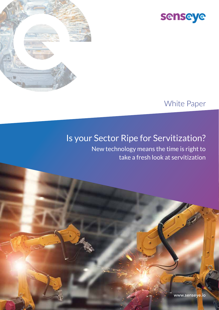



#### White Paper

# Is your Sector Ripe for Servitization?

New technology means the time is right to take a fresh look at servitization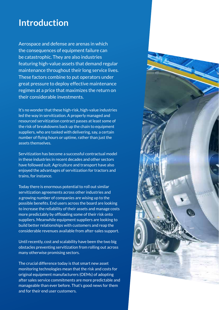### **Introduction**

Aerospace and defense are arenas in which the consequences of equipment failure can be catastrophic. They are also industries featuring high-value assets that demand regular maintenance throughout their long service lives. These factors combine to put operators under great pressure to deploy effective maintenance regimes at a price that maximizes the return on their considerable investments.

It's no wonder that these high-risk, high-value industries led the way in servitization. A properly managed and resourced servitization contract passes at least some of the risk of breakdowns back up the chain to equipment suppliers, who are tasked with delivering, say, a certain number of flying hours or uptime, rather than just the assets themselves.

Servitization has become a successful contractual model in these industries in recent decades and other sectors have followed suit. Agriculture and transport have also enjoyed the advantages of servitization for tractors and trains, for instance.

Today there is enormous potential to roll out similar servitization agreements across other industries and a growing number of companies are wising up to the possible benefits. End users across the board are looking to increase the reliability of their assets and manage costs more predictably by offloading some of their risk onto suppliers. Meanwhile equipment suppliers are looking to build better relationships with customers and reap the considerable revenues available from after-sales support.

Until recently, cost and scalability have been the two big obstacles preventing servitization from rolling out across many otherwise promising sectors.

and for their end user customers. The crucial difference today is that smart new asset monitoring technologies mean that the risk and costs for original equipment manufacturers (OEMs) of adopting after sales service commitments are more predictable and manageable than ever before. That's good news for them

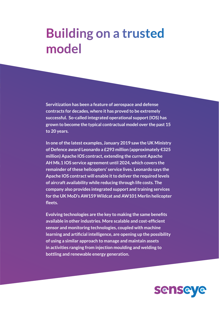# **Building on a trusted model**

**Servitization has been a feature of aerospace and defense contracts for decades, where it has proved to be extremely successful. So-called integrated operational support (IOS) has grown to become the typical contractual model over the past 15 to 20 years.** 

**In one of the latest examples, January 2019 saw the UK Ministry of Defence award Leonardo a £293 million (approximately €325 million) Apache IOS contract, extending the current Apache AH Mk.1 IOS service agreement until 2024, which covers the remainder of these helicopters' service lives. Leonardo says the Apache IOS contract will enable it to deliver the required levels of aircraft availability while reducing through life costs. The company also provides integrated support and training services for the UK MoD's AW159 Wildcat and AW101 Merlin helicopter fleets.** 

**Evolving technologies are the key to making the same benefits available in other industries. More scalable and cost-efficient sensor and monitoring technologies, coupled with machine learning and artificial intelligence, are opening up the possibility of using a similar approach to manage and maintain assets in activities ranging from injection moulding and welding to bottling and renewable energy generation.**

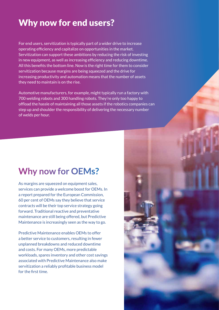# Why now for end users?

For end users, servitization is typically part of a wider drive to increase operating efficiency and capitalize on opportunities in the market. Servitization can support these ambitions by reducing the risk of investing in new equipment, as well as increasing efficiency and reducing downtime. All this benefits the bottom line. Now is the right time for them to consider servitization because margins are being squeezed and the drive for increasing productivity and automation means that the number of assets they need to maintain is on the rise.

Automotive manufacturers, for example, might typically run a factory with 700 welding robots and 300 handling robots. They're only too happy to offload the hassle of maintaining all those assets if the robotics companies can step up and shoulder the responsibility of delivering the necessary number of welds per hour.

# **Why now for OEMs?**

As margins are squeezed on equipment sales, services can provide a welcome boost for OEMs. In a report prepared for the European Commission, 60 per cent of OEMs say they believe that service contracts will be their top service strategy going forward. Traditional reactive and preventative maintenance are still being offered, but Predictive Maintenance is increasingly seen as the way to go.

Predictive Maintenance enables OEMs to offer a better service to customers, resulting in fewer unplanned breakdowns and reduced downtime and costs. For many OEMs, more predictable workloads, spares inventory and other cost savings associated with Predictive Maintenance also make servitization a reliably profitable business model for the first time.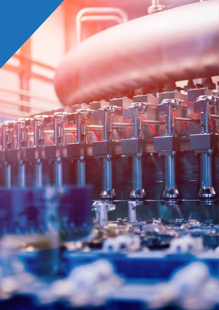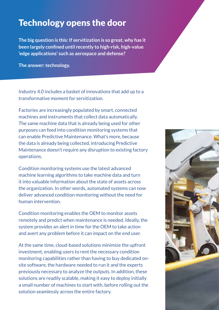## Technology opens the door

**The big question is this: If servitization is so great, why has it been largely confined until recently to high-risk, high-value 'edge applications' such as aerospace and defense?**

**The answer: technology.**

Industry 4.0 includes a basket of innovations that add up to a transformative moment for servitization.

Factories are increasingly populated by smart, connected machines and instruments that collect data automatically. The same machine data that is already being used for other purposes can feed into condition monitoring systems that can enable Predictive Maintenance. What's more, because the data is already being collected, introducing Predictive Maintenance doesn't require any disruption to existing factory operations.

Condition monitoring systems use the latest advanced machine learning algorithms to take machine data and turn it into valuable information about the state of assets across the organization. In other words, automated systems can now deliver advanced condition monitoring without the need for human intervention.

Condition monitoring enables the OEM to monitor assets remotely and predict when maintenance is needed. Ideally, the system provides an alert in time for the OEM to take action and avert any problem before it can impact on the end user.

At the same time, cloud-based solutions minimize the upfront investment, enabling users to rent the necessary condition monitoring capabilities rather than having to buy dedicated onsite software, the hardware needed to run it and the experts previously necessary to analyze the outputs. In addition, these solutions are readily scalable, making it easy to deploy initially a small number of machines to start with, before rolling out the solution seamlessly across the entire factory.

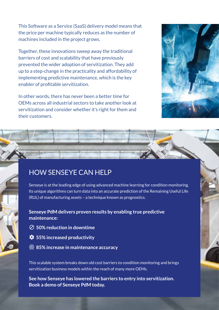This Software as a Service (SaaS) delivery model means that the price per machine typically reduces as the number of machines included in the project grows.

Together, these innovations sweep away the traditional barriers of cost and scalability that have previously prevented the wider adoption of servitization. They add up to a step-change in the practicality and affordability of implementing predictive maintenance, which is the key enabler of profitable servitization.

In other words, there has never been a better time for OEMs across all industrial sectors to take another look at servitization and consider whether it's right for them and their customers.



### HOW SENSEYE CAN HELP

Senseye is at the leading edge of using advanced machine learning for condition monitoring. Its unique algorithms can turn data into an accurate prediction of the Remaining Useful Life (RUL) of manufacturing assets – a technique known as prognostics.

**Senseye PdM delivers proven results by enabling true predictive maintenance:**

- **50% reduction in downtime**
- **55% increased productivity**
- **85% increase in maintenance accuracy**

This scalable system breaks down old cost barriers to condition monitoring and brings servitization business models within the reach of many more OEMs.

**See how Senseye has lowered the barriers to entry into servitization. Book a demo of Senseye PdM today.**